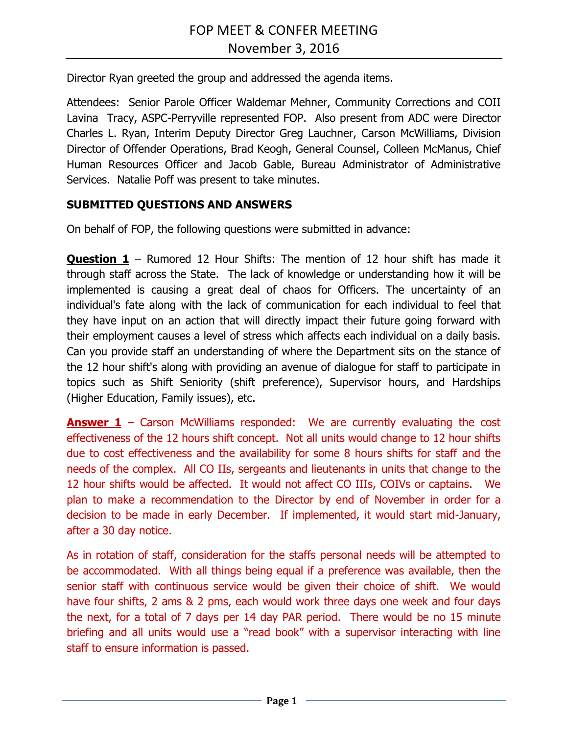Director Ryan greeted the group and addressed the agenda items.

Attendees: Senior Parole Officer Waldemar Mehner, Community Corrections and COII Lavina Tracy, ASPC-Perryville represented FOP. Also present from ADC were Director Charles L. Ryan, Interim Deputy Director Greg Lauchner, Carson McWilliams, Division Director of Offender Operations, Brad Keogh, General Counsel, Colleen McManus, Chief Human Resources Officer and Jacob Gable, Bureau Administrator of Administrative Services. Natalie Poff was present to take minutes.

## **SUBMITTED QUESTIONS AND ANSWERS**

On behalf of FOP, the following questions were submitted in advance:

**Question 1** – Rumored 12 Hour Shifts: The mention of 12 hour shift has made it through staff across the State. The lack of knowledge or understanding how it will be implemented is causing a great deal of chaos for Officers. The uncertainty of an individual's fate along with the lack of communication for each individual to feel that they have input on an action that will directly impact their future going forward with their employment causes a level of stress which affects each individual on a daily basis. Can you provide staff an understanding of where the Department sits on the stance of the 12 hour shift's along with providing an avenue of dialogue for staff to participate in topics such as Shift Seniority (shift preference), Supervisor hours, and Hardships (Higher Education, Family issues), etc.

**Answer 1** – Carson McWilliams responded: We are currently evaluating the cost effectiveness of the 12 hours shift concept. Not all units would change to 12 hour shifts due to cost effectiveness and the availability for some 8 hours shifts for staff and the needs of the complex. All CO IIs, sergeants and lieutenants in units that change to the 12 hour shifts would be affected. It would not affect CO IIIs, COIVs or captains. We plan to make a recommendation to the Director by end of November in order for a decision to be made in early December. If implemented, it would start mid-January, after a 30 day notice.

As in rotation of staff, consideration for the staffs personal needs will be attempted to be accommodated. With all things being equal if a preference was available, then the senior staff with continuous service would be given their choice of shift. We would have four shifts, 2 ams & 2 pms, each would work three days one week and four days the next, for a total of 7 days per 14 day PAR period. There would be no 15 minute briefing and all units would use a "read book" with a supervisor interacting with line staff to ensure information is passed.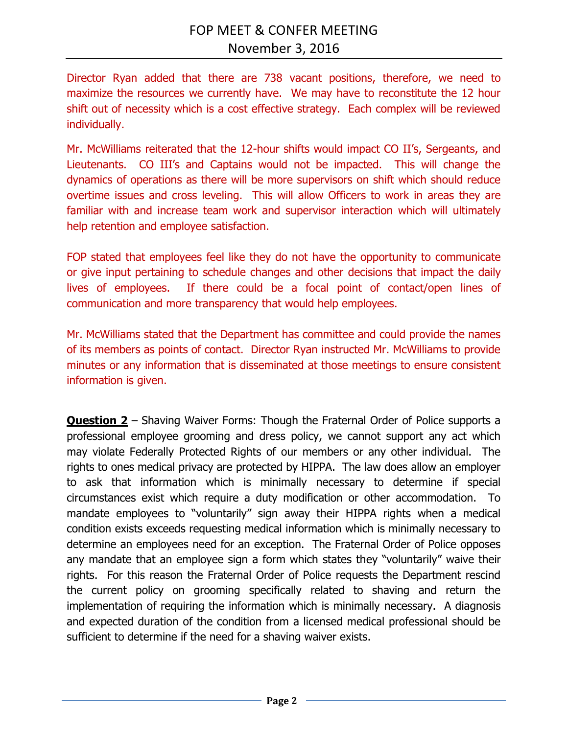Director Ryan added that there are 738 vacant positions, therefore, we need to maximize the resources we currently have. We may have to reconstitute the 12 hour shift out of necessity which is a cost effective strategy. Each complex will be reviewed individually.

Mr. McWilliams reiterated that the 12-hour shifts would impact CO II's, Sergeants, and Lieutenants. CO III's and Captains would not be impacted. This will change the dynamics of operations as there will be more supervisors on shift which should reduce overtime issues and cross leveling. This will allow Officers to work in areas they are familiar with and increase team work and supervisor interaction which will ultimately help retention and employee satisfaction.

FOP stated that employees feel like they do not have the opportunity to communicate or give input pertaining to schedule changes and other decisions that impact the daily lives of employees. If there could be a focal point of contact/open lines of communication and more transparency that would help employees.

Mr. McWilliams stated that the Department has committee and could provide the names of its members as points of contact. Director Ryan instructed Mr. McWilliams to provide minutes or any information that is disseminated at those meetings to ensure consistent information is given.

**Question 2** – Shaving Waiver Forms: Though the Fraternal Order of Police supports a professional employee grooming and dress policy, we cannot support any act which may violate Federally Protected Rights of our members or any other individual. The rights to ones medical privacy are protected by HIPPA. The law does allow an employer to ask that information which is minimally necessary to determine if special circumstances exist which require a duty modification or other accommodation. To mandate employees to "voluntarily" sign away their HIPPA rights when a medical condition exists exceeds requesting medical information which is minimally necessary to determine an employees need for an exception. The Fraternal Order of Police opposes any mandate that an employee sign a form which states they "voluntarily" waive their rights. For this reason the Fraternal Order of Police requests the Department rescind the current policy on grooming specifically related to shaving and return the implementation of requiring the information which is minimally necessary. A diagnosis and expected duration of the condition from a licensed medical professional should be sufficient to determine if the need for a shaving waiver exists.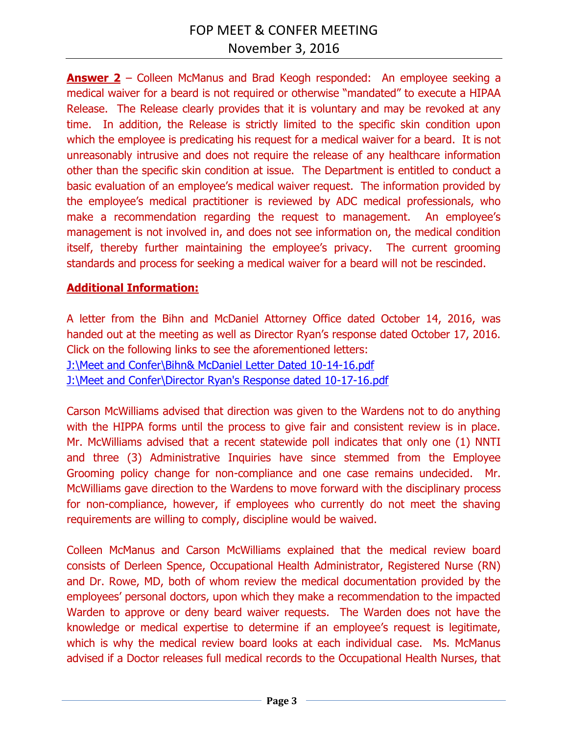**Answer 2** – Colleen McManus and Brad Keogh responded: An employee seeking a medical waiver for a beard is not required or otherwise "mandated" to execute a HIPAA Release. The Release clearly provides that it is voluntary and may be revoked at any time. In addition, the Release is strictly limited to the specific skin condition upon which the employee is predicating his request for a medical waiver for a beard. It is not unreasonably intrusive and does not require the release of any healthcare information other than the specific skin condition at issue. The Department is entitled to conduct a basic evaluation of an employee's medical waiver request. The information provided by the employee's medical practitioner is reviewed by ADC medical professionals, who make a recommendation regarding the request to management. An employee's management is not involved in, and does not see information on, the medical condition itself, thereby further maintaining the employee's privacy. The current grooming standards and process for seeking a medical waiver for a beard will not be rescinded.

## **Additional Information:**

A letter from the Bihn and McDaniel Attorney Office dated October 14, 2016, was handed out at the meeting as well as Director Ryan's response dated October 17, 2016. Click on the following links to see the aforementioned letters: [J:\Meet and Confer\Bihn& McDaniel Letter Dated 10-14-16.pdf](file://///CO-FILE03/SHARED/ADC_INFO/Meet%20and%20Confer/Bihn&%20McDaniel%20Letter%20Dated%2010-14-16.pdf) [J:\Meet and Confer\Director Ryan's Response dated 10-17-16.pdf](file://///CO-FILE03/SHARED/ADC_INFO/Meet%20and%20Confer/Director%20Ryan)

Carson McWilliams advised that direction was given to the Wardens not to do anything with the HIPPA forms until the process to give fair and consistent review is in place. Mr. McWilliams advised that a recent statewide poll indicates that only one (1) NNTI and three (3) Administrative Inquiries have since stemmed from the Employee Grooming policy change for non-compliance and one case remains undecided. Mr. McWilliams gave direction to the Wardens to move forward with the disciplinary process for non-compliance, however, if employees who currently do not meet the shaving requirements are willing to comply, discipline would be waived.

Colleen McManus and Carson McWilliams explained that the medical review board consists of Derleen Spence, Occupational Health Administrator, Registered Nurse (RN) and Dr. Rowe, MD, both of whom review the medical documentation provided by the employees' personal doctors, upon which they make a recommendation to the impacted Warden to approve or deny beard waiver requests. The Warden does not have the knowledge or medical expertise to determine if an employee's request is legitimate, which is why the medical review board looks at each individual case. Ms. McManus advised if a Doctor releases full medical records to the Occupational Health Nurses, that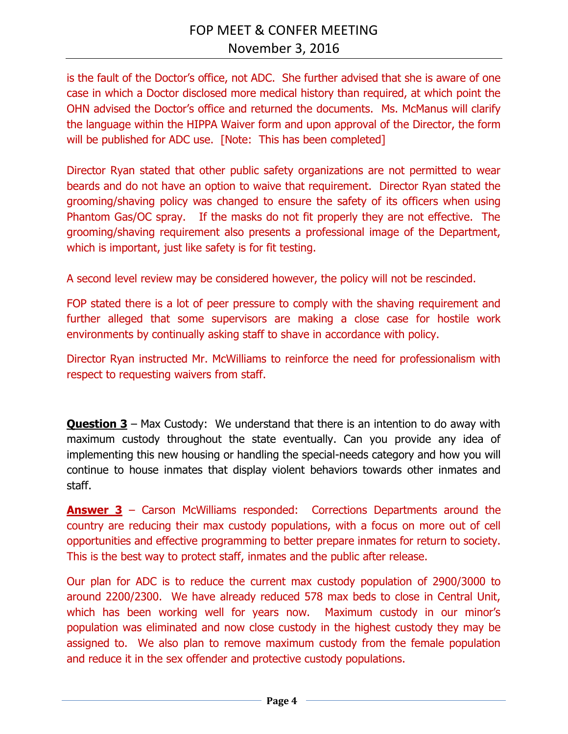is the fault of the Doctor's office, not ADC. She further advised that she is aware of one case in which a Doctor disclosed more medical history than required, at which point the OHN advised the Doctor's office and returned the documents. Ms. McManus will clarify the language within the HIPPA Waiver form and upon approval of the Director, the form will be published for ADC use. [Note: This has been completed]

Director Ryan stated that other public safety organizations are not permitted to wear beards and do not have an option to waive that requirement. Director Ryan stated the grooming/shaving policy was changed to ensure the safety of its officers when using Phantom Gas/OC spray. If the masks do not fit properly they are not effective. The grooming/shaving requirement also presents a professional image of the Department, which is important, just like safety is for fit testing.

A second level review may be considered however, the policy will not be rescinded.

FOP stated there is a lot of peer pressure to comply with the shaving requirement and further alleged that some supervisors are making a close case for hostile work environments by continually asking staff to shave in accordance with policy.

Director Ryan instructed Mr. McWilliams to reinforce the need for professionalism with respect to requesting waivers from staff.

**Question 3** – Max Custody: We understand that there is an intention to do away with maximum custody throughout the state eventually. Can you provide any idea of implementing this new housing or handling the special-needs category and how you will continue to house inmates that display violent behaviors towards other inmates and staff.

**Answer 3** – Carson McWilliams responded: Corrections Departments around the country are reducing their max custody populations, with a focus on more out of cell opportunities and effective programming to better prepare inmates for return to society. This is the best way to protect staff, inmates and the public after release.

Our plan for ADC is to reduce the current max custody population of 2900/3000 to around 2200/2300. We have already reduced 578 max beds to close in Central Unit, which has been working well for years now. Maximum custody in our minor's population was eliminated and now close custody in the highest custody they may be assigned to. We also plan to remove maximum custody from the female population and reduce it in the sex offender and protective custody populations.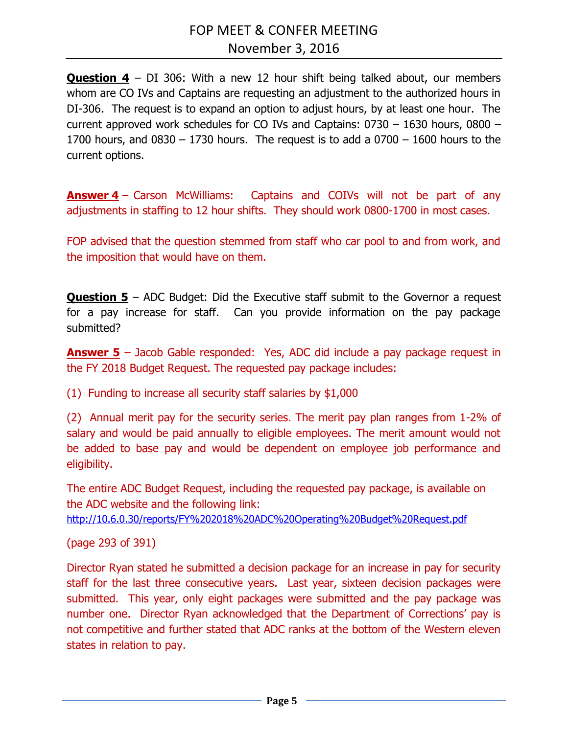**Question 4** – DI 306: With a new 12 hour shift being talked about, our members whom are CO IVs and Captains are requesting an adjustment to the authorized hours in DI-306. The request is to expand an option to adjust hours, by at least one hour. The current approved work schedules for CO IVs and Captains: 0730 – 1630 hours, 0800 – 1700 hours, and  $0830 - 1730$  hours. The request is to add a  $0700 - 1600$  hours to the current options.

**Answer 4** – Carson McWilliams: Captains and COIVs will not be part of any adjustments in staffing to 12 hour shifts. They should work 0800-1700 in most cases.

FOP advised that the question stemmed from staff who car pool to and from work, and the imposition that would have on them.

**Question 5** – ADC Budget: Did the Executive staff submit to the Governor a request for a pay increase for staff. Can you provide information on the pay package submitted?

**Answer 5** – Jacob Gable responded: Yes, ADC did include a pay package request in the FY 2018 Budget Request. The requested pay package includes:

(1) Funding to increase all security staff salaries by \$1,000

(2) Annual merit pay for the security series. The merit pay plan ranges from 1-2% of salary and would be paid annually to eligible employees. The merit amount would not be added to base pay and would be dependent on employee job performance and eligibility.

The entire ADC Budget Request, including the requested pay package, is available on the ADC website and the following link:

<http://10.6.0.30/reports/FY%202018%20ADC%20Operating%20Budget%20Request.pdf>

(page 293 of 391)

Director Ryan stated he submitted a decision package for an increase in pay for security staff for the last three consecutive years. Last year, sixteen decision packages were submitted. This year, only eight packages were submitted and the pay package was number one. Director Ryan acknowledged that the Department of Corrections' pay is not competitive and further stated that ADC ranks at the bottom of the Western eleven states in relation to pay.